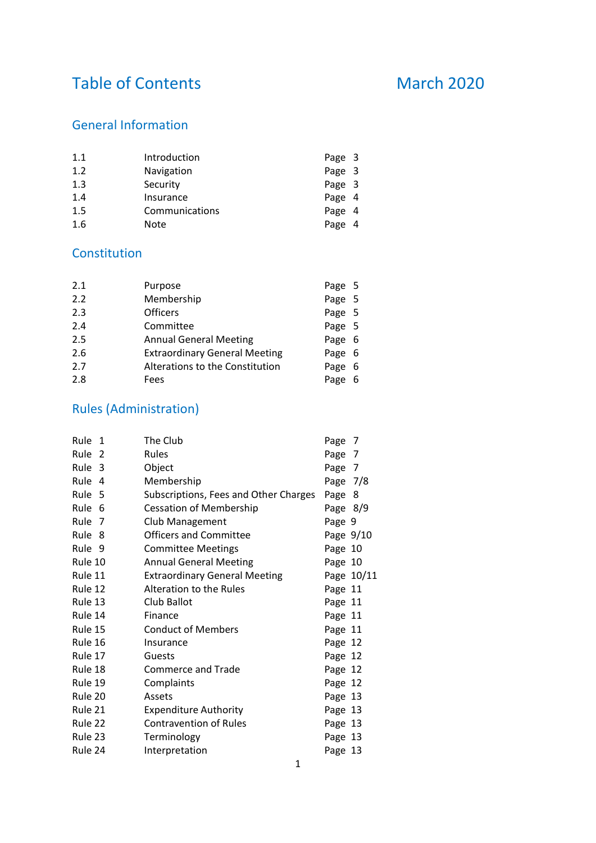# Table of Contents March 2020

# General Information

| 1.1 | Introduction   | Page 3 |
|-----|----------------|--------|
| 1.2 | Navigation     | Page 3 |
| 1.3 | Security       | Page 3 |
| 1.4 | Insurance      | Page 4 |
| 1.5 | Communications | Page 4 |
| 1.6 | Note           | Page 4 |

# Constitution

| 2.1 | Purpose                              | Page 5 |     |
|-----|--------------------------------------|--------|-----|
| 2.2 | Membership                           | Page 5 |     |
| 2.3 | <b>Officers</b>                      | Page 5 |     |
| 2.4 | Committee                            | Page 5 |     |
| 2.5 | <b>Annual General Meeting</b>        | Page 6 |     |
| 2.6 | <b>Extraordinary General Meeting</b> | Page 6 |     |
| 2.7 | Alterations to the Constitution      | Page   | - 6 |
| 2.8 | Fees                                 | Page   | -6  |

# Rules (Administration)

| Rule 1  |   | The Club                              | Page 7     |            |
|---------|---|---------------------------------------|------------|------------|
| Rule    | 2 | <b>Rules</b>                          | Page 7     |            |
| Rule 3  |   | Object                                | Page 7     |            |
| Rule 4  |   | Membership                            | Page $7/8$ |            |
| Rule 5  |   | Subscriptions, Fees and Other Charges | Page 8     |            |
| Rule 6  |   | <b>Cessation of Membership</b>        | Page $8/9$ |            |
| Rule 7  |   | Club Management                       | Page 9     |            |
| Rule 8  |   | <b>Officers and Committee</b>         | Page 9/10  |            |
| Rule 9  |   | <b>Committee Meetings</b>             | Page 10    |            |
| Rule 10 |   | <b>Annual General Meeting</b>         | Page 10    |            |
| Rule 11 |   | <b>Extraordinary General Meeting</b>  |            | Page 10/11 |
| Rule 12 |   | Alteration to the Rules               | Page 11    |            |
| Rule 13 |   | Club Ballot                           | Page 11    |            |
| Rule 14 |   | Finance                               | Page 11    |            |
| Rule 15 |   | <b>Conduct of Members</b>             | Page 11    |            |
| Rule 16 |   | Insurance                             | Page 12    |            |
| Rule 17 |   | Guests                                | Page 12    |            |
| Rule 18 |   | Commerce and Trade                    | Page 12    |            |
| Rule 19 |   | Complaints                            | Page 12    |            |
| Rule 20 |   | Assets                                | Page 13    |            |
| Rule 21 |   | <b>Expenditure Authority</b>          | Page 13    |            |
| Rule 22 |   | <b>Contravention of Rules</b>         | Page 13    |            |
| Rule 23 |   | Terminology                           | Page 13    |            |
| Rule 24 |   | Interpretation                        | Page 13    |            |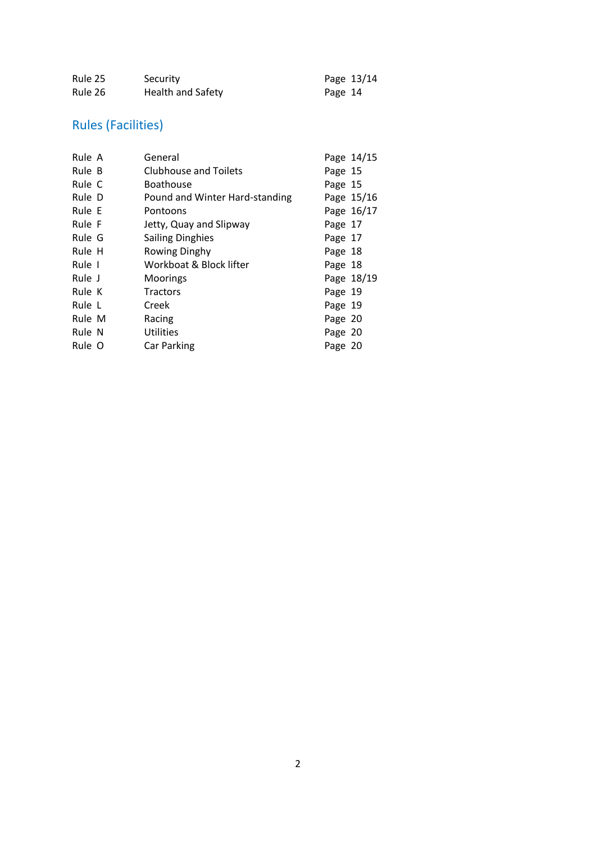| Rule 25 | Security          | Page 13/14 |
|---------|-------------------|------------|
| Rule 26 | Health and Safety | Page 14    |

# Rules (Facilities)

| Rule A | General                        |         | Page 14/15 |
|--------|--------------------------------|---------|------------|
| Rule B | <b>Clubhouse and Toilets</b>   | Page 15 |            |
| Rule C | <b>Boathouse</b>               | Page 15 |            |
| Rule D | Pound and Winter Hard-standing |         | Page 15/16 |
| Rule E | Pontoons                       |         | Page 16/17 |
| Rule F | Jetty, Quay and Slipway        | Page 17 |            |
| Rule G | <b>Sailing Dinghies</b>        | Page 17 |            |
| Rule H | Rowing Dinghy                  | Page 18 |            |
| Rule 1 | Workboat & Block lifter        | Page 18 |            |
| Rule J | Moorings                       |         | Page 18/19 |
| Rule K | <b>Tractors</b>                | Page 19 |            |
| Rule L | Creek                          | Page 19 |            |
| Rule M | Racing                         | Page 20 |            |
| Rule N | <b>Utilities</b>               | Page 20 |            |
| Rule O | Car Parking                    | Page 20 |            |
|        |                                |         |            |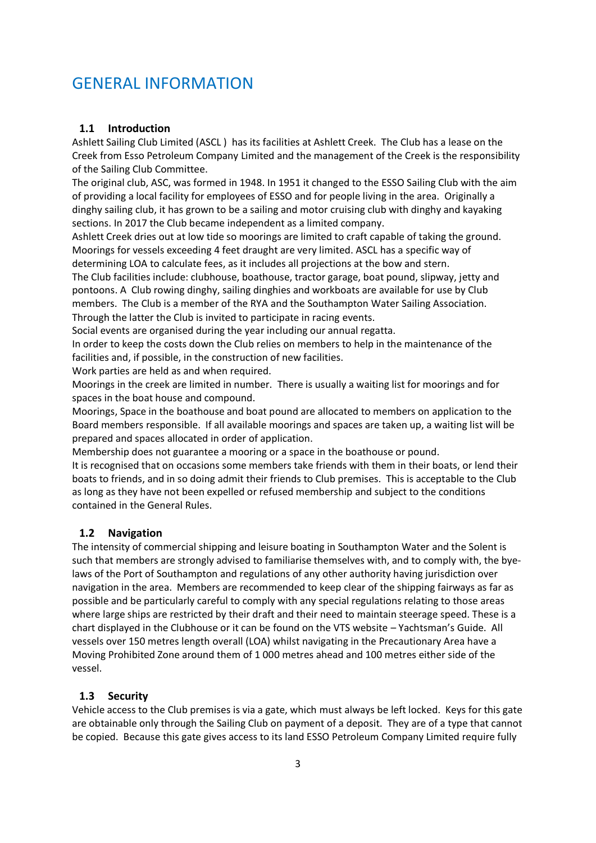# GENERAL INFORMATION

#### **1.1 Introduction**

Ashlett Sailing Club Limited (ASCL ) has its facilities at Ashlett Creek. The Club has a lease on the Creek from Esso Petroleum Company Limited and the management of the Creek is the responsibility of the Sailing Club Committee.

The original club, ASC, was formed in 1948. In 1951 it changed to the ESSO Sailing Club with the aim of providing a local facility for employees of ESSO and for people living in the area. Originally a dinghy sailing club, it has grown to be a sailing and motor cruising club with dinghy and kayaking sections. In 2017 the Club became independent as a limited company.

Ashlett Creek dries out at low tide so moorings are limited to craft capable of taking the ground. Moorings for vessels exceeding 4 feet draught are very limited. ASCL has a specific way of determining LOA to calculate fees, as it includes all projections at the bow and stern.

The Club facilities include: clubhouse, boathouse, tractor garage, boat pound, slipway, jetty and pontoons. A Club rowing dinghy, sailing dinghies and workboats are available for use by Club members. The Club is a member of the RYA and the Southampton Water Sailing Association. Through the latter the Club is invited to participate in racing events.

Social events are organised during the year including our annual regatta.

In order to keep the costs down the Club relies on members to help in the maintenance of the facilities and, if possible, in the construction of new facilities.

Work parties are held as and when required.

Moorings in the creek are limited in number. There is usually a waiting list for moorings and for spaces in the boat house and compound.

Moorings, Space in the boathouse and boat pound are allocated to members on application to the Board members responsible. If all available moorings and spaces are taken up, a waiting list will be prepared and spaces allocated in order of application.

Membership does not guarantee a mooring or a space in the boathouse or pound.

It is recognised that on occasions some members take friends with them in their boats, or lend their boats to friends, and in so doing admit their friends to Club premises. This is acceptable to the Club as long as they have not been expelled or refused membership and subject to the conditions contained in the General Rules.

#### **1.2 Navigation**

The intensity of commercial shipping and leisure boating in Southampton Water and the Solent is such that members are strongly advised to familiarise themselves with, and to comply with, the byelaws of the Port of Southampton and regulations of any other authority having jurisdiction over navigation in the area. Members are recommended to keep clear of the shipping fairways as far as possible and be particularly careful to comply with any special regulations relating to those areas where large ships are restricted by their draft and their need to maintain steerage speed. These is a chart displayed in the Clubhouse or it can be found on the VTS website – Yachtsman's Guide. All vessels over 150 metres length overall (LOA) whilst navigating in the Precautionary Area have a Moving Prohibited Zone around them of 1 000 metres ahead and 100 metres either side of the vessel.

#### **1.3 Security**

Vehicle access to the Club premises is via a gate, which must always be left locked. Keys for this gate are obtainable only through the Sailing Club on payment of a deposit. They are of a type that cannot be copied. Because this gate gives access to its land ESSO Petroleum Company Limited require fully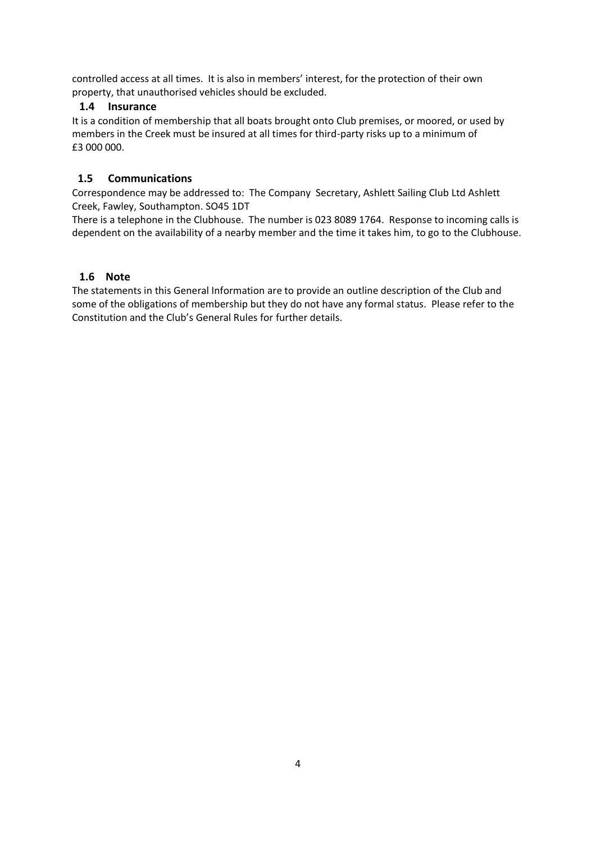controlled access at all times. It is also in members' interest, for the protection of their own property, that unauthorised vehicles should be excluded.

#### **1.4 Insurance**

It is a condition of membership that all boats brought onto Club premises, or moored, or used by members in the Creek must be insured at all times for third-party risks up to a minimum of £3 000 000.

#### **1.5 Communications**

Correspondence may be addressed to: The Company Secretary, Ashlett Sailing Club Ltd Ashlett Creek, Fawley, Southampton. SO45 1DT

There is a telephone in the Clubhouse. The number is 023 8089 1764. Response to incoming calls is dependent on the availability of a nearby member and the time it takes him, to go to the Clubhouse.

#### **1.6 Note**

The statements in this General Information are to provide an outline description of the Club and some of the obligations of membership but they do not have any formal status. Please refer to the Constitution and the Club's General Rules for further details.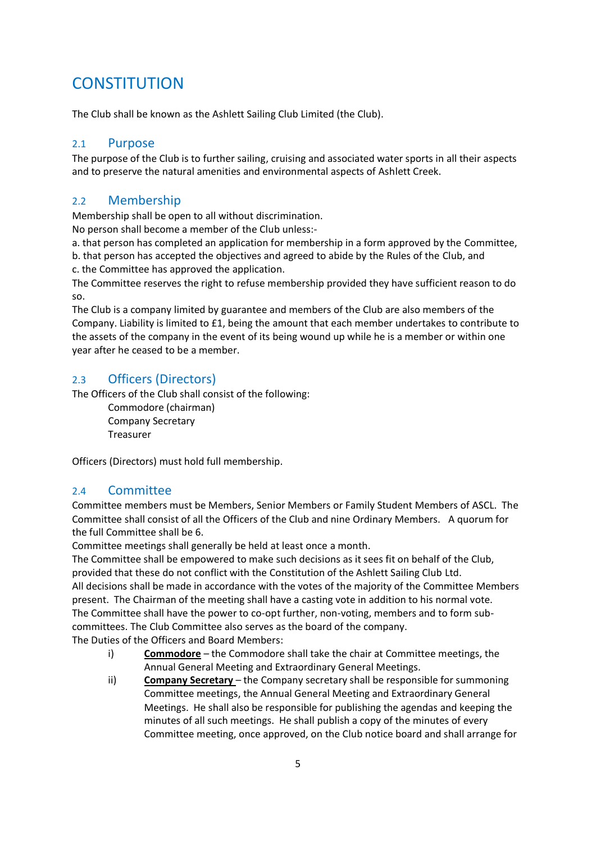# **CONSTITUTION**

The Club shall be known as the Ashlett Sailing Club Limited (the Club).

#### 2.1 Purpose

The purpose of the Club is to further sailing, cruising and associated water sports in all their aspects and to preserve the natural amenities and environmental aspects of Ashlett Creek.

# 2.2 Membership

Membership shall be open to all without discrimination.

No person shall become a member of the Club unless:-

a. that person has completed an application for membership in a form approved by the Committee,

b. that person has accepted the objectives and agreed to abide by the Rules of the Club, and c. the Committee has approved the application.

The Committee reserves the right to refuse membership provided they have sufficient reason to do so.

The Club is a company limited by guarantee and members of the Club are also members of the Company. Liability is limited to £1, being the amount that each member undertakes to contribute to the assets of the company in the event of its being wound up while he is a member or within one year after he ceased to be a member.

# 2.3 Officers (Directors)

The Officers of the Club shall consist of the following:

Commodore (chairman) Company Secretary Treasurer

Officers (Directors) must hold full membership.

#### 2.4 Committee

Committee members must be Members, Senior Members or Family Student Members of ASCL. The Committee shall consist of all the Officers of the Club and nine Ordinary Members. A quorum for the full Committee shall be 6.

Committee meetings shall generally be held at least once a month.

The Committee shall be empowered to make such decisions as it sees fit on behalf of the Club, provided that these do not conflict with the Constitution of the Ashlett Sailing Club Ltd. All decisions shall be made in accordance with the votes of the majority of the Committee Members present. The Chairman of the meeting shall have a casting vote in addition to his normal vote. The Committee shall have the power to co-opt further, non-voting, members and to form subcommittees. The Club Committee also serves as the board of the company. The Duties of the Officers and Board Members:

- i) **Commodore** the Commodore shall take the chair at Committee meetings, the Annual General Meeting and Extraordinary General Meetings.
- ii) **Company Secretary**  the Company secretary shall be responsible for summoning Committee meetings, the Annual General Meeting and Extraordinary General Meetings. He shall also be responsible for publishing the agendas and keeping the minutes of all such meetings. He shall publish a copy of the minutes of every Committee meeting, once approved, on the Club notice board and shall arrange for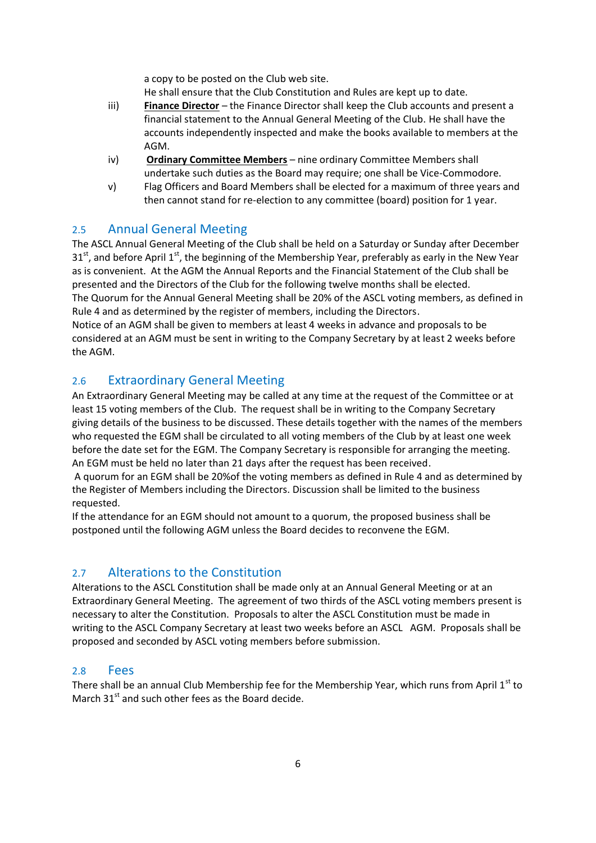a copy to be posted on the Club web site.

He shall ensure that the Club Constitution and Rules are kept up to date.

- iii) **Finance Director** the Finance Director shall keep the Club accounts and present a financial statement to the Annual General Meeting of the Club. He shall have the accounts independently inspected and make the books available to members at the AGM.
- iv) **Ordinary Committee Members** nine ordinary Committee Members shall undertake such duties as the Board may require; one shall be Vice-Commodore.
- v) Flag Officers and Board Members shall be elected for a maximum of three years and then cannot stand for re-election to any committee (board) position for 1 year.

### 2.5 Annual General Meeting

The ASCL Annual General Meeting of the Club shall be held on a Saturday or Sunday after December  $31<sup>st</sup>$ , and before April 1<sup>st</sup>, the beginning of the Membership Year, preferably as early in the New Year as is convenient. At the AGM the Annual Reports and the Financial Statement of the Club shall be presented and the Directors of the Club for the following twelve months shall be elected. The Quorum for the Annual General Meeting shall be 20% of the ASCL voting members, as defined in Rule 4 and as determined by the register of members, including the Directors. Notice of an AGM shall be given to members at least 4 weeks in advance and proposals to be

considered at an AGM must be sent in writing to the Company Secretary by at least 2 weeks before the AGM.

# 2.6 Extraordinary General Meeting

An Extraordinary General Meeting may be called at any time at the request of the Committee or at least 15 voting members of the Club. The request shall be in writing to the Company Secretary giving details of the business to be discussed. These details together with the names of the members who requested the EGM shall be circulated to all voting members of the Club by at least one week before the date set for the EGM. The Company Secretary is responsible for arranging the meeting. An EGM must be held no later than 21 days after the request has been received.

A quorum for an EGM shall be 20%of the voting members as defined in Rule 4 and as determined by the Register of Members including the Directors. Discussion shall be limited to the business requested.

If the attendance for an EGM should not amount to a quorum, the proposed business shall be postponed until the following AGM unless the Board decides to reconvene the EGM.

# 2.7 Alterations to the Constitution

Alterations to the ASCL Constitution shall be made only at an Annual General Meeting or at an Extraordinary General Meeting. The agreement of two thirds of the ASCL voting members present is necessary to alter the Constitution. Proposals to alter the ASCL Constitution must be made in writing to the ASCL Company Secretary at least two weeks before an ASCL AGM. Proposals shall be proposed and seconded by ASCL voting members before submission.

#### 2.8 Fees

There shall be an annual Club Membership fee for the Membership Year, which runs from April 1<sup>st</sup> to March 31<sup>st</sup> and such other fees as the Board decide.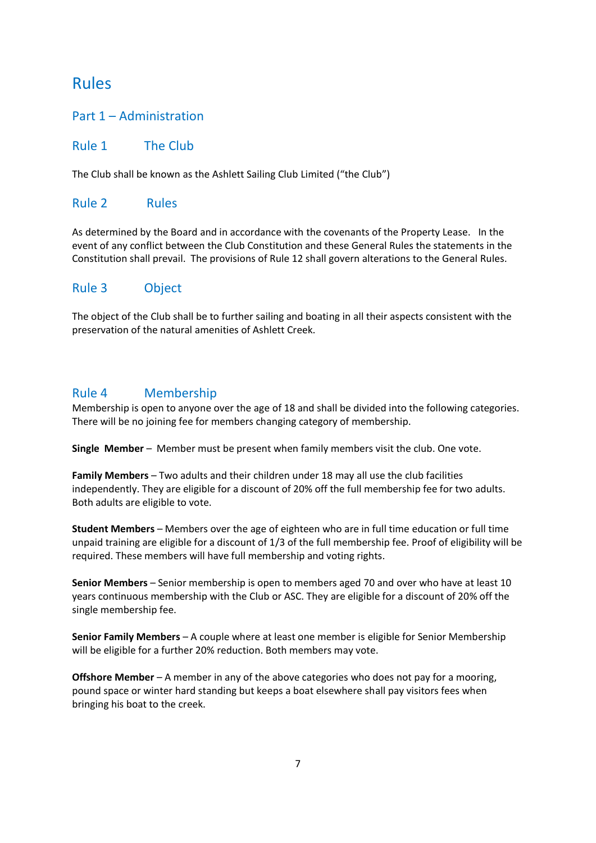# Rules

## Part 1 – Administration

#### Rule 1 The Club

The Club shall be known as the Ashlett Sailing Club Limited ("the Club")

# Rule 2 Rules

As determined by the Board and in accordance with the covenants of the Property Lease. In the event of any conflict between the Club Constitution and these General Rules the statements in the Constitution shall prevail. The provisions of Rule 12 shall govern alterations to the General Rules.

### Rule 3 Object

The object of the Club shall be to further sailing and boating in all their aspects consistent with the preservation of the natural amenities of Ashlett Creek.

# Rule 4 Membership

Membership is open to anyone over the age of 18 and shall be divided into the following categories. There will be no joining fee for members changing category of membership.

**Single Member** – Member must be present when family members visit the club. One vote.

**Family Members** – Two adults and their children under 18 may all use the club facilities independently. They are eligible for a discount of 20% off the full membership fee for two adults. Both adults are eligible to vote.

**Student Members** – Members over the age of eighteen who are in full time education or full time unpaid training are eligible for a discount of 1/3 of the full membership fee. Proof of eligibility will be required. These members will have full membership and voting rights.

**Senior Members** – Senior membership is open to members aged 70 and over who have at least 10 years continuous membership with the Club or ASC. They are eligible for a discount of 20% off the single membership fee.

**Senior Family Members** – A couple where at least one member is eligible for Senior Membership will be eligible for a further 20% reduction. Both members may vote.

**Offshore Member** – A member in any of the above categories who does not pay for a mooring, pound space or winter hard standing but keeps a boat elsewhere shall pay visitors fees when bringing his boat to the creek.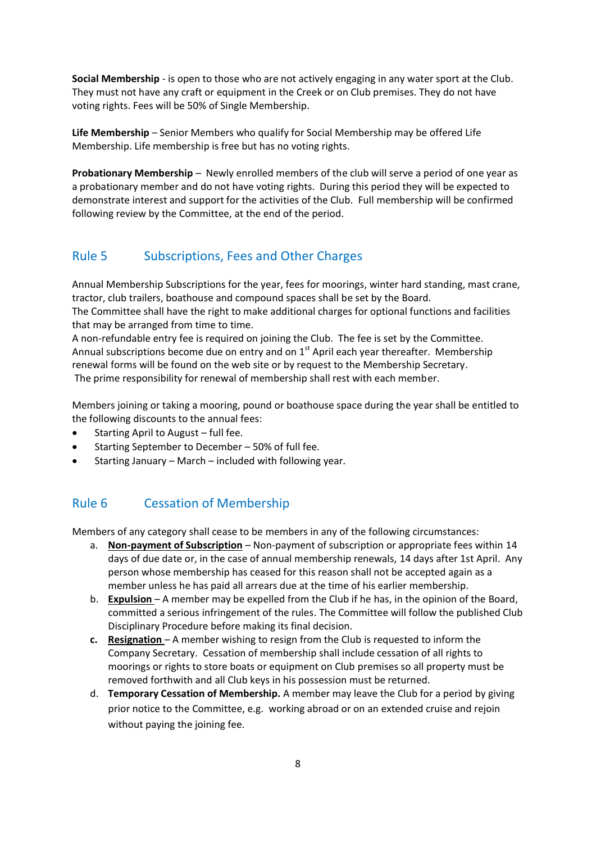**Social Membership** - is open to those who are not actively engaging in any water sport at the Club. They must not have any craft or equipment in the Creek or on Club premises. They do not have voting rights. Fees will be 50% of Single Membership.

**Life Membership** – Senior Members who qualify for Social Membership may be offered Life Membership. Life membership is free but has no voting rights.

**Probationary Membership** – Newly enrolled members of the club will serve a period of one year as a probationary member and do not have voting rights. During this period they will be expected to demonstrate interest and support for the activities of the Club. Full membership will be confirmed following review by the Committee, at the end of the period.

# Rule 5 Subscriptions, Fees and Other Charges

Annual Membership Subscriptions for the year, fees for moorings, winter hard standing, mast crane, tractor, club trailers, boathouse and compound spaces shall be set by the Board. The Committee shall have the right to make additional charges for optional functions and facilities that may be arranged from time to time.

A non-refundable entry fee is required on joining the Club. The fee is set by the Committee. Annual subscriptions become due on entry and on  $1<sup>st</sup>$  April each year thereafter. Membership renewal forms will be found on the web site or by request to the Membership Secretary. The prime responsibility for renewal of membership shall rest with each member.

Members joining or taking a mooring, pound or boathouse space during the year shall be entitled to the following discounts to the annual fees:

- $\bullet$  Starting April to August full fee.
- Starting September to December 50% of full fee.
- Starting January March included with following year.

# Rule 6 Cessation of Membership

Members of any category shall cease to be members in any of the following circumstances:

- a. **Non-payment of Subscription** Non-payment of subscription or appropriate fees within 14 days of due date or, in the case of annual membership renewals, 14 days after 1st April. Any person whose membership has ceased for this reason shall not be accepted again as a member unless he has paid all arrears due at the time of his earlier membership.
- b. **Expulsion**  A member may be expelled from the Club if he has, in the opinion of the Board, committed a serious infringement of the rules. The Committee will follow the published Club Disciplinary Procedure before making its final decision.
- **c. Resignation**  A member wishing to resign from the Club is requested to inform the Company Secretary. Cessation of membership shall include cessation of all rights to moorings or rights to store boats or equipment on Club premises so all property must be removed forthwith and all Club keys in his possession must be returned.
- d. **Temporary Cessation of Membership.** A member may leave the Club for a period by giving prior notice to the Committee, e.g. working abroad or on an extended cruise and rejoin without paying the joining fee.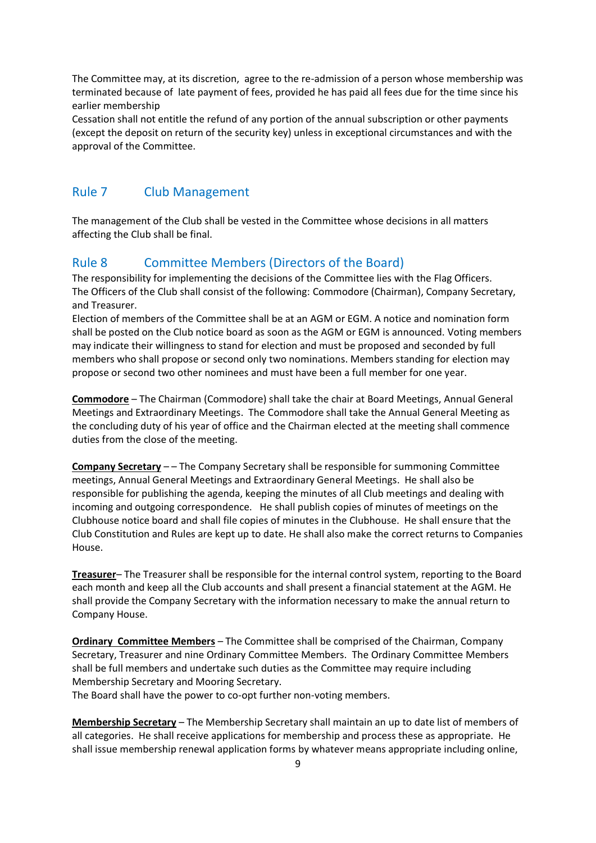The Committee may, at its discretion, agree to the re-admission of a person whose membership was terminated because of late payment of fees, provided he has paid all fees due for the time since his earlier membership

Cessation shall not entitle the refund of any portion of the annual subscription or other payments (except the deposit on return of the security key) unless in exceptional circumstances and with the approval of the Committee.

### Rule 7 Club Management

The management of the Club shall be vested in the Committee whose decisions in all matters affecting the Club shall be final.

#### Rule 8 Committee Members (Directors of the Board)

The responsibility for implementing the decisions of the Committee lies with the Flag Officers. The Officers of the Club shall consist of the following: Commodore (Chairman), Company Secretary, and Treasurer.

Election of members of the Committee shall be at an AGM or EGM. A notice and nomination form shall be posted on the Club notice board as soon as the AGM or EGM is announced. Voting members may indicate their willingness to stand for election and must be proposed and seconded by full members who shall propose or second only two nominations. Members standing for election may propose or second two other nominees and must have been a full member for one year.

**Commodore** – The Chairman (Commodore) shall take the chair at Board Meetings, Annual General Meetings and Extraordinary Meetings. The Commodore shall take the Annual General Meeting as the concluding duty of his year of office and the Chairman elected at the meeting shall commence duties from the close of the meeting.

**Company Secretary** – – The Company Secretary shall be responsible for summoning Committee meetings, Annual General Meetings and Extraordinary General Meetings. He shall also be responsible for publishing the agenda, keeping the minutes of all Club meetings and dealing with incoming and outgoing correspondence. He shall publish copies of minutes of meetings on the Clubhouse notice board and shall file copies of minutes in the Clubhouse. He shall ensure that the Club Constitution and Rules are kept up to date. He shall also make the correct returns to Companies House.

**Treasurer**– The Treasurer shall be responsible for the internal control system, reporting to the Board each month and keep all the Club accounts and shall present a financial statement at the AGM. He shall provide the Company Secretary with the information necessary to make the annual return to Company House.

**Ordinary Committee Members** – The Committee shall be comprised of the Chairman, Company Secretary, Treasurer and nine Ordinary Committee Members. The Ordinary Committee Members shall be full members and undertake such duties as the Committee may require including Membership Secretary and Mooring Secretary.

The Board shall have the power to co-opt further non-voting members.

**Membership Secretary** – The Membership Secretary shall maintain an up to date list of members of all categories. He shall receive applications for membership and process these as appropriate. He shall issue membership renewal application forms by whatever means appropriate including online,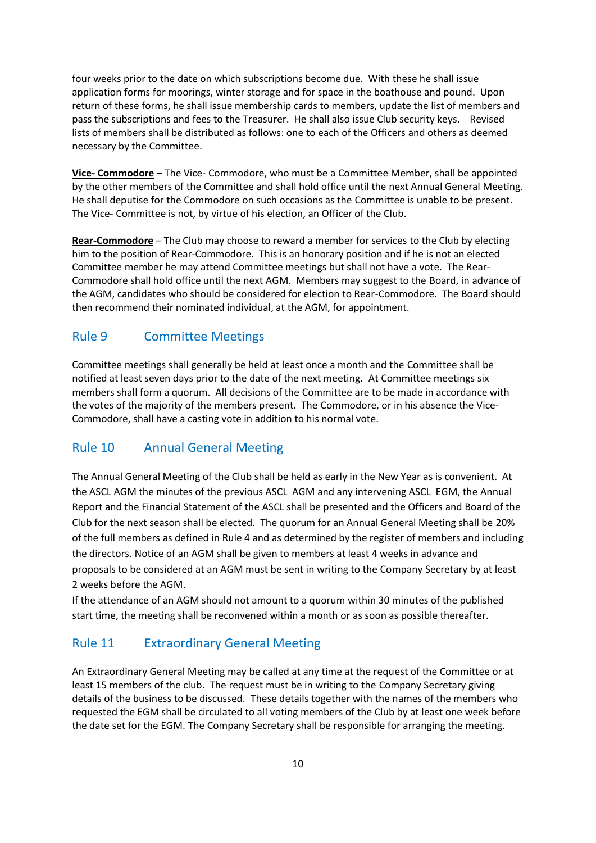four weeks prior to the date on which subscriptions become due. With these he shall issue application forms for moorings, winter storage and for space in the boathouse and pound. Upon return of these forms, he shall issue membership cards to members, update the list of members and pass the subscriptions and fees to the Treasurer. He shall also issue Club security keys. Revised lists of members shall be distributed as follows: one to each of the Officers and others as deemed necessary by the Committee.

**Vice- Commodore** – The Vice- Commodore, who must be a Committee Member, shall be appointed by the other members of the Committee and shall hold office until the next Annual General Meeting. He shall deputise for the Commodore on such occasions as the Committee is unable to be present. The Vice- Committee is not, by virtue of his election, an Officer of the Club.

**Rear-Commodore** – The Club may choose to reward a member for services to the Club by electing him to the position of Rear-Commodore. This is an honorary position and if he is not an elected Committee member he may attend Committee meetings but shall not have a vote. The Rear-Commodore shall hold office until the next AGM. Members may suggest to the Board, in advance of the AGM, candidates who should be considered for election to Rear-Commodore. The Board should then recommend their nominated individual, at the AGM, for appointment.

### Rule 9 Committee Meetings

Committee meetings shall generally be held at least once a month and the Committee shall be notified at least seven days prior to the date of the next meeting. At Committee meetings six members shall form a quorum. All decisions of the Committee are to be made in accordance with the votes of the majority of the members present. The Commodore, or in his absence the Vice-Commodore, shall have a casting vote in addition to his normal vote.

#### Rule 10 Annual General Meeting

The Annual General Meeting of the Club shall be held as early in the New Year as is convenient. At the ASCL AGM the minutes of the previous ASCL AGM and any intervening ASCL EGM, the Annual Report and the Financial Statement of the ASCL shall be presented and the Officers and Board of the Club for the next season shall be elected. The quorum for an Annual General Meeting shall be 20% of the full members as defined in Rule 4 and as determined by the register of members and including the directors. Notice of an AGM shall be given to members at least 4 weeks in advance and proposals to be considered at an AGM must be sent in writing to the Company Secretary by at least 2 weeks before the AGM.

If the attendance of an AGM should not amount to a quorum within 30 minutes of the published start time, the meeting shall be reconvened within a month or as soon as possible thereafter.

#### Rule 11 Extraordinary General Meeting

An Extraordinary General Meeting may be called at any time at the request of the Committee or at least 15 members of the club. The request must be in writing to the Company Secretary giving details of the business to be discussed. These details together with the names of the members who requested the EGM shall be circulated to all voting members of the Club by at least one week before the date set for the EGM. The Company Secretary shall be responsible for arranging the meeting.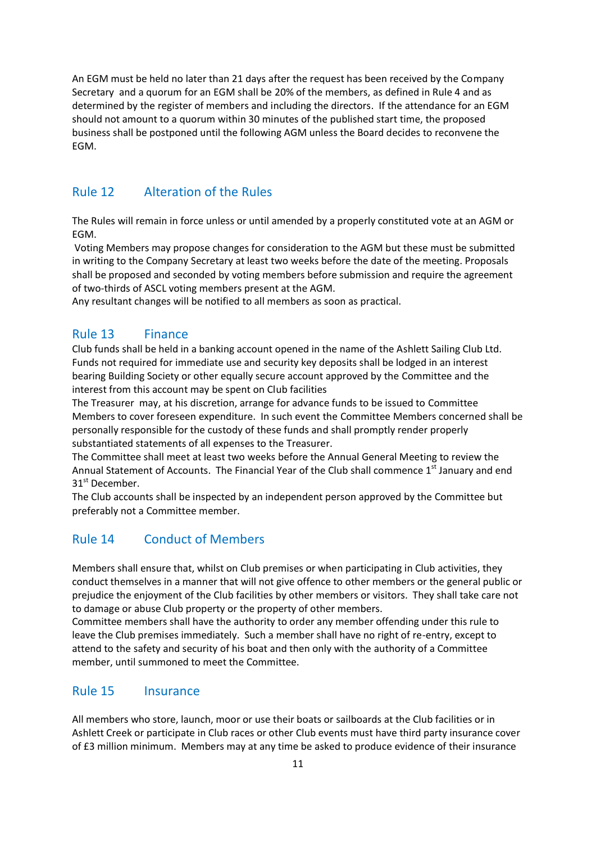An EGM must be held no later than 21 days after the request has been received by the Company Secretary and a quorum for an EGM shall be 20% of the members, as defined in Rule 4 and as determined by the register of members and including the directors. If the attendance for an EGM should not amount to a quorum within 30 minutes of the published start time, the proposed business shall be postponed until the following AGM unless the Board decides to reconvene the EGM.

### Rule 12 Alteration of the Rules

The Rules will remain in force unless or until amended by a properly constituted vote at an AGM or EGM.

Voting Members may propose changes for consideration to the AGM but these must be submitted in writing to the Company Secretary at least two weeks before the date of the meeting. Proposals shall be proposed and seconded by voting members before submission and require the agreement of two-thirds of ASCL voting members present at the AGM.

Any resultant changes will be notified to all members as soon as practical.

#### Rule 13 Finance

Club funds shall be held in a banking account opened in the name of the Ashlett Sailing Club Ltd. Funds not required for immediate use and security key deposits shall be lodged in an interest bearing Building Society or other equally secure account approved by the Committee and the interest from this account may be spent on Club facilities

The Treasurer may, at his discretion, arrange for advance funds to be issued to Committee Members to cover foreseen expenditure. In such event the Committee Members concerned shall be personally responsible for the custody of these funds and shall promptly render properly substantiated statements of all expenses to the Treasurer.

The Committee shall meet at least two weeks before the Annual General Meeting to review the Annual Statement of Accounts. The Financial Year of the Club shall commence 1<sup>st</sup> January and end 31<sup>st</sup> December.

The Club accounts shall be inspected by an independent person approved by the Committee but preferably not a Committee member.

#### Rule 14 Conduct of Members

Members shall ensure that, whilst on Club premises or when participating in Club activities, they conduct themselves in a manner that will not give offence to other members or the general public or prejudice the enjoyment of the Club facilities by other members or visitors. They shall take care not to damage or abuse Club property or the property of other members.

Committee members shall have the authority to order any member offending under this rule to leave the Club premises immediately. Such a member shall have no right of re-entry, except to attend to the safety and security of his boat and then only with the authority of a Committee member, until summoned to meet the Committee.

#### Rule 15 Insurance

All members who store, launch, moor or use their boats or sailboards at the Club facilities or in Ashlett Creek or participate in Club races or other Club events must have third party insurance cover of £3 million minimum. Members may at any time be asked to produce evidence of their insurance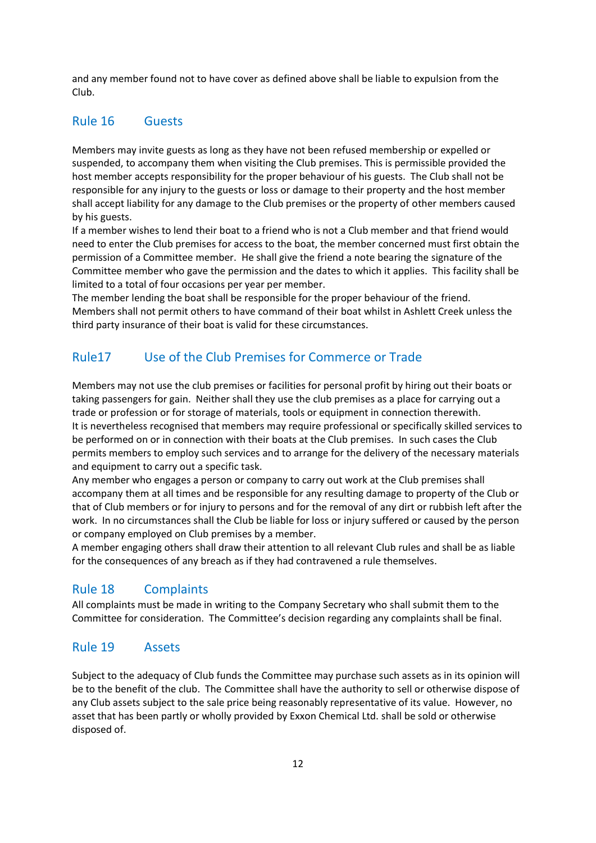and any member found not to have cover as defined above shall be liable to expulsion from the Club.

#### Rule 16 Guests

Members may invite guests as long as they have not been refused membership or expelled or suspended, to accompany them when visiting the Club premises. This is permissible provided the host member accepts responsibility for the proper behaviour of his guests. The Club shall not be responsible for any injury to the guests or loss or damage to their property and the host member shall accept liability for any damage to the Club premises or the property of other members caused by his guests.

If a member wishes to lend their boat to a friend who is not a Club member and that friend would need to enter the Club premises for access to the boat, the member concerned must first obtain the permission of a Committee member. He shall give the friend a note bearing the signature of the Committee member who gave the permission and the dates to which it applies. This facility shall be limited to a total of four occasions per year per member.

The member lending the boat shall be responsible for the proper behaviour of the friend. Members shall not permit others to have command of their boat whilst in Ashlett Creek unless the third party insurance of their boat is valid for these circumstances.

### Rule17 Use of the Club Premises for Commerce or Trade

Members may not use the club premises or facilities for personal profit by hiring out their boats or taking passengers for gain. Neither shall they use the club premises as a place for carrying out a trade or profession or for storage of materials, tools or equipment in connection therewith. It is nevertheless recognised that members may require professional or specifically skilled services to be performed on or in connection with their boats at the Club premises. In such cases the Club permits members to employ such services and to arrange for the delivery of the necessary materials and equipment to carry out a specific task.

Any member who engages a person or company to carry out work at the Club premises shall accompany them at all times and be responsible for any resulting damage to property of the Club or that of Club members or for injury to persons and for the removal of any dirt or rubbish left after the work. In no circumstances shall the Club be liable for loss or injury suffered or caused by the person or company employed on Club premises by a member.

A member engaging others shall draw their attention to all relevant Club rules and shall be as liable for the consequences of any breach as if they had contravened a rule themselves.

#### Rule 18 Complaints

All complaints must be made in writing to the Company Secretary who shall submit them to the Committee for consideration. The Committee's decision regarding any complaints shall be final.

#### Rule 19 Assets

Subject to the adequacy of Club funds the Committee may purchase such assets as in its opinion will be to the benefit of the club. The Committee shall have the authority to sell or otherwise dispose of any Club assets subject to the sale price being reasonably representative of its value. However, no asset that has been partly or wholly provided by Exxon Chemical Ltd. shall be sold or otherwise disposed of.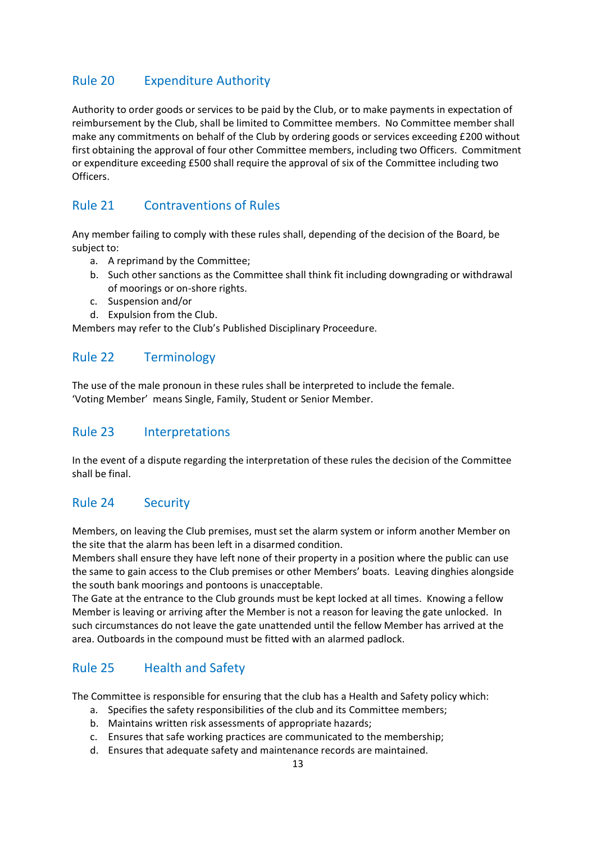# Rule 20 Expenditure Authority

Authority to order goods or services to be paid by the Club, or to make payments in expectation of reimbursement by the Club, shall be limited to Committee members. No Committee member shall make any commitments on behalf of the Club by ordering goods or services exceeding £200 without first obtaining the approval of four other Committee members, including two Officers. Commitment or expenditure exceeding £500 shall require the approval of six of the Committee including two Officers.

# Rule 21 Contraventions of Rules

Any member failing to comply with these rules shall, depending of the decision of the Board, be subject to:

- a. A reprimand by the Committee;
- b. Such other sanctions as the Committee shall think fit including downgrading or withdrawal of moorings or on-shore rights.
- c. Suspension and/or
- d. Expulsion from the Club.

Members may refer to the Club's Published Disciplinary Proceedure.

# Rule 22 Terminology

The use of the male pronoun in these rules shall be interpreted to include the female. 'Voting Member' means Single, Family, Student or Senior Member.

# Rule 23 Interpretations

In the event of a dispute regarding the interpretation of these rules the decision of the Committee shall be final.

# Rule 24 Security

Members, on leaving the Club premises, must set the alarm system or inform another Member on the site that the alarm has been left in a disarmed condition.

Members shall ensure they have left none of their property in a position where the public can use the same to gain access to the Club premises or other Members' boats. Leaving dinghies alongside the south bank moorings and pontoons is unacceptable.

The Gate at the entrance to the Club grounds must be kept locked at all times. Knowing a fellow Member is leaving or arriving after the Member is not a reason for leaving the gate unlocked. In such circumstances do not leave the gate unattended until the fellow Member has arrived at the area. Outboards in the compound must be fitted with an alarmed padlock.

# Rule 25 Health and Safety

The Committee is responsible for ensuring that the club has a Health and Safety policy which:

- a. Specifies the safety responsibilities of the club and its Committee members;
- b. Maintains written risk assessments of appropriate hazards;
- c. Ensures that safe working practices are communicated to the membership;
- d. Ensures that adequate safety and maintenance records are maintained.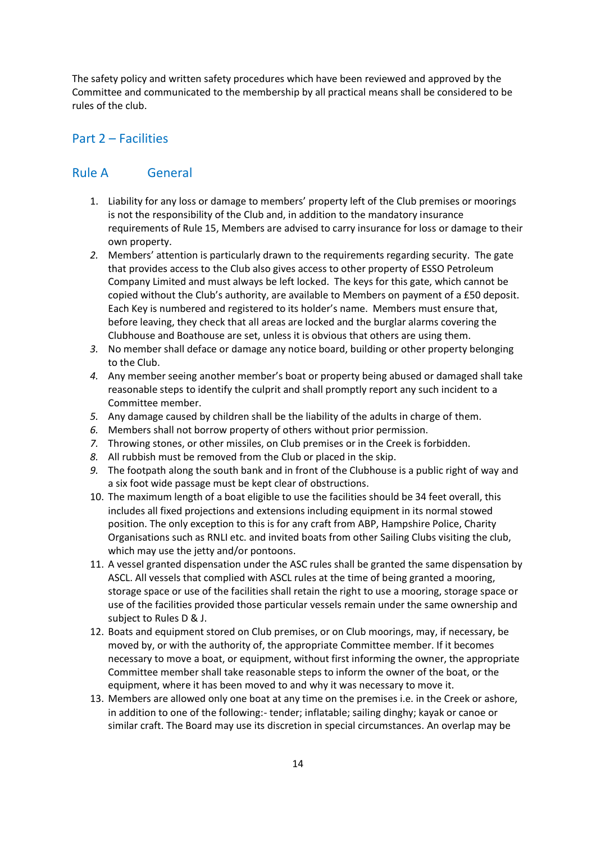The safety policy and written safety procedures which have been reviewed and approved by the Committee and communicated to the membership by all practical means shall be considered to be rules of the club.

#### Part 2 – Facilities

#### Rule A General

- 1. Liability for any loss or damage to members' property left of the Club premises or moorings is not the responsibility of the Club and, in addition to the mandatory insurance requirements of Rule 15, Members are advised to carry insurance for loss or damage to their own property.
- *2.* Members' attention is particularly drawn to the requirements regarding security. The gate that provides access to the Club also gives access to other property of ESSO Petroleum Company Limited and must always be left locked. The keys for this gate, which cannot be copied without the Club's authority, are available to Members on payment of a £50 deposit. Each Key is numbered and registered to its holder's name. Members must ensure that, before leaving, they check that all areas are locked and the burglar alarms covering the Clubhouse and Boathouse are set, unless it is obvious that others are using them.
- *3.* No member shall deface or damage any notice board, building or other property belonging to the Club.
- *4.* Any member seeing another member's boat or property being abused or damaged shall take reasonable steps to identify the culprit and shall promptly report any such incident to a Committee member.
- *5.* Any damage caused by children shall be the liability of the adults in charge of them.
- *6.* Members shall not borrow property of others without prior permission.
- *7.* Throwing stones, or other missiles, on Club premises or in the Creek is forbidden.
- *8.* All rubbish must be removed from the Club or placed in the skip.
- *9.* The footpath along the south bank and in front of the Clubhouse is a public right of way and a six foot wide passage must be kept clear of obstructions.
- 10. The maximum length of a boat eligible to use the facilities should be 34 feet overall, this includes all fixed projections and extensions including equipment in its normal stowed position. The only exception to this is for any craft from ABP, Hampshire Police, Charity Organisations such as RNLI etc. and invited boats from other Sailing Clubs visiting the club, which may use the jetty and/or pontoons.
- 11. A vessel granted dispensation under the ASC rules shall be granted the same dispensation by ASCL. All vessels that complied with ASCL rules at the time of being granted a mooring, storage space or use of the facilities shall retain the right to use a mooring, storage space or use of the facilities provided those particular vessels remain under the same ownership and subject to Rules D & J.
- 12. Boats and equipment stored on Club premises, or on Club moorings, may, if necessary, be moved by, or with the authority of, the appropriate Committee member. If it becomes necessary to move a boat, or equipment, without first informing the owner, the appropriate Committee member shall take reasonable steps to inform the owner of the boat, or the equipment, where it has been moved to and why it was necessary to move it.
- 13. Members are allowed only one boat at any time on the premises i.e. in the Creek or ashore, in addition to one of the following:- tender; inflatable; sailing dinghy; kayak or canoe or similar craft. The Board may use its discretion in special circumstances. An overlap may be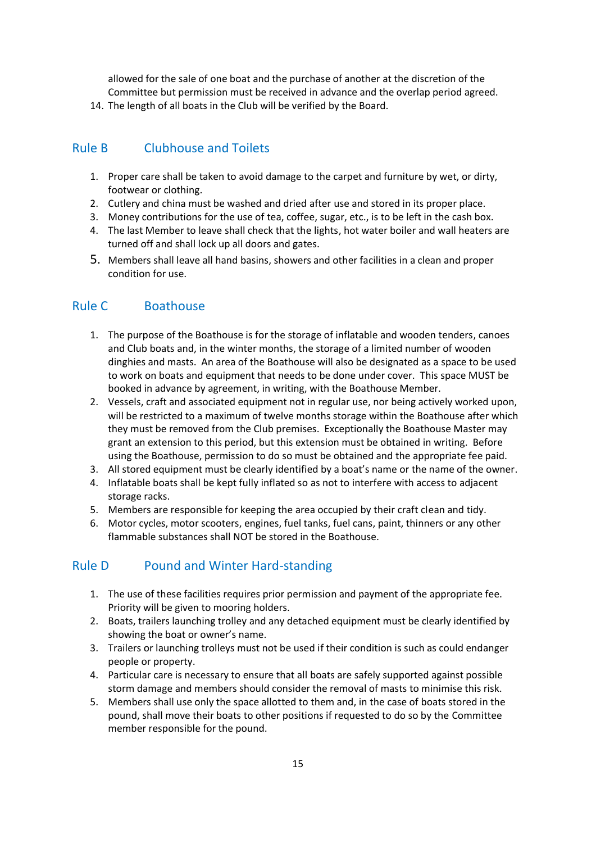allowed for the sale of one boat and the purchase of another at the discretion of the Committee but permission must be received in advance and the overlap period agreed.

14. The length of all boats in the Club will be verified by the Board.

# Rule B Clubhouse and Toilets

- 1. Proper care shall be taken to avoid damage to the carpet and furniture by wet, or dirty, footwear or clothing.
- 2. Cutlery and china must be washed and dried after use and stored in its proper place.
- 3. Money contributions for the use of tea, coffee, sugar, etc., is to be left in the cash box.
- 4. The last Member to leave shall check that the lights, hot water boiler and wall heaters are turned off and shall lock up all doors and gates.
- 5. Members shall leave all hand basins, showers and other facilities in a clean and proper condition for use.

# Rule C Boathouse

- 1. The purpose of the Boathouse is for the storage of inflatable and wooden tenders, canoes and Club boats and, in the winter months, the storage of a limited number of wooden dinghies and masts. An area of the Boathouse will also be designated as a space to be used to work on boats and equipment that needs to be done under cover. This space MUST be booked in advance by agreement, in writing, with the Boathouse Member.
- 2. Vessels, craft and associated equipment not in regular use, nor being actively worked upon, will be restricted to a maximum of twelve months storage within the Boathouse after which they must be removed from the Club premises. Exceptionally the Boathouse Master may grant an extension to this period, but this extension must be obtained in writing. Before using the Boathouse, permission to do so must be obtained and the appropriate fee paid.
- 3. All stored equipment must be clearly identified by a boat's name or the name of the owner.
- 4. Inflatable boats shall be kept fully inflated so as not to interfere with access to adjacent storage racks.
- 5. Members are responsible for keeping the area occupied by their craft clean and tidy.
- 6. Motor cycles, motor scooters, engines, fuel tanks, fuel cans, paint, thinners or any other flammable substances shall NOT be stored in the Boathouse.

# Rule D Pound and Winter Hard-standing

- 1. The use of these facilities requires prior permission and payment of the appropriate fee. Priority will be given to mooring holders.
- 2. Boats, trailers launching trolley and any detached equipment must be clearly identified by showing the boat or owner's name.
- 3. Trailers or launching trolleys must not be used if their condition is such as could endanger people or property.
- 4. Particular care is necessary to ensure that all boats are safely supported against possible storm damage and members should consider the removal of masts to minimise this risk.
- 5. Members shall use only the space allotted to them and, in the case of boats stored in the pound, shall move their boats to other positions if requested to do so by the Committee member responsible for the pound.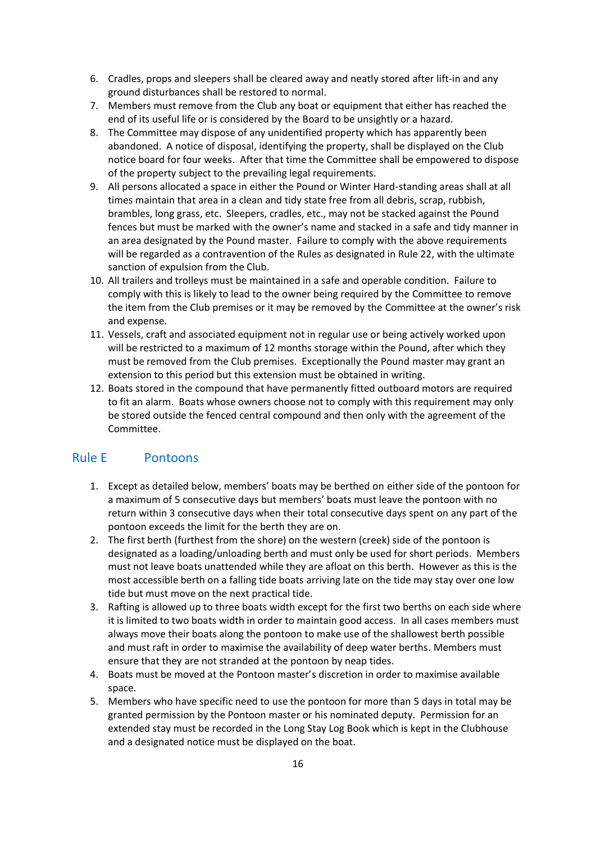- 6. Cradles, props and sleepers shall be cleared away and neatly stored after lift-in and any ground disturbances shall be restored to normal.
- 7. Members must remove from the Club any boat or equipment that either has reached the end of its useful life or is considered by the Board to be unsightly or a hazard.
- 8. The Committee may dispose of any unidentified property which has apparently been abandoned. A notice of disposal, identifying the property, shall be displayed on the Club notice board for four weeks. After that time the Committee shall be empowered to dispose of the property subject to the prevailing legal requirements.
- 9. All persons allocated a space in either the Pound or Winter Hard-standing areas shall at all times maintain that area in a clean and tidy state free from all debris, scrap, rubbish, brambles, long grass, etc. Sleepers, cradles, etc., may not be stacked against the Pound fences but must be marked with the owner's name and stacked in a safe and tidy manner in an area designated by the Pound master. Failure to comply with the above requirements will be regarded as a contravention of the Rules as designated in Rule 22, with the ultimate sanction of expulsion from the Club.
- 10. All trailers and trolleys must be maintained in a safe and operable condition. Failure to comply with this is likely to lead to the owner being required by the Committee to remove the item from the Club premises or it may be removed by the Committee at the owner's risk and expense.
- 11. Vessels, craft and associated equipment not in regular use or being actively worked upon will be restricted to a maximum of 12 months storage within the Pound, after which they must be removed from the Club premises. Exceptionally the Pound master may grant an extension to this period but this extension must be obtained in writing.
- 12. Boats stored in the compound that have permanently fitted outboard motors are required to fit an alarm. Boats whose owners choose not to comply with this requirement may only be stored outside the fenced central compound and then only with the agreement of the Committee.

# Rule E Pontoons

- 1. Except as detailed below, members' boats may be berthed on either side of the pontoon for a maximum of 5 consecutive days but members' boats must leave the pontoon with no return within 3 consecutive days when their total consecutive days spent on any part of the pontoon exceeds the limit for the berth they are on.
- 2. The first berth (furthest from the shore) on the western (creek) side of the pontoon is designated as a loading/unloading berth and must only be used for short periods. Members must not leave boats unattended while they are afloat on this berth. However as this is the most accessible berth on a falling tide boats arriving late on the tide may stay over one low tide but must move on the next practical tide.
- 3. Rafting is allowed up to three boats width except for the first two berths on each side where it is limited to two boats width in order to maintain good access. In all cases members must always move their boats along the pontoon to make use of the shallowest berth possible and must raft in order to maximise the availability of deep water berths. Members must ensure that they are not stranded at the pontoon by neap tides.
- 4. Boats must be moved at the Pontoon master's discretion in order to maximise available space.
- 5. Members who have specific need to use the pontoon for more than 5 days in total may be granted permission by the Pontoon master or his nominated deputy. Permission for an extended stay must be recorded in the Long Stay Log Book which is kept in the Clubhouse and a designated notice must be displayed on the boat.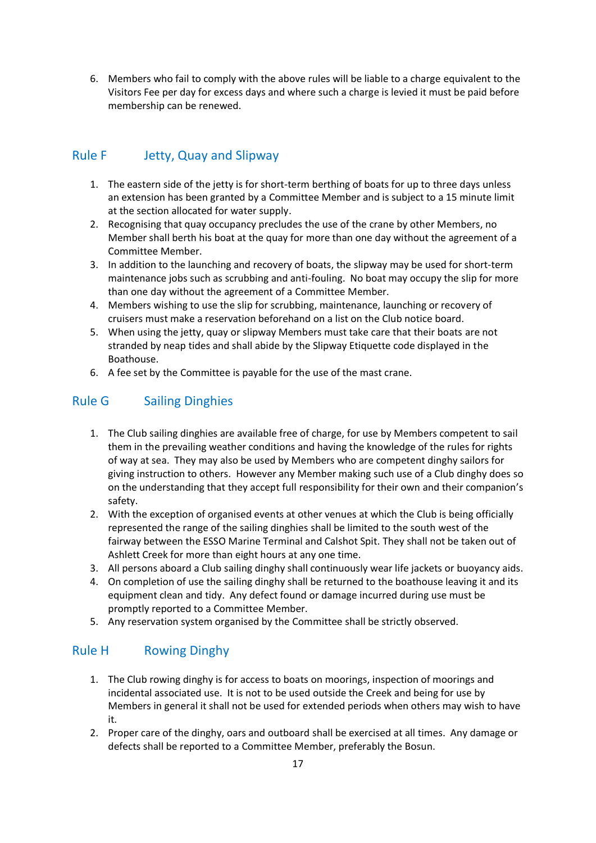6. Members who fail to comply with the above rules will be liable to a charge equivalent to the Visitors Fee per day for excess days and where such a charge is levied it must be paid before membership can be renewed.

# Rule F Jetty, Quay and Slipway

- 1. The eastern side of the jetty is for short-term berthing of boats for up to three days unless an extension has been granted by a Committee Member and is subject to a 15 minute limit at the section allocated for water supply.
- 2. Recognising that quay occupancy precludes the use of the crane by other Members, no Member shall berth his boat at the quay for more than one day without the agreement of a Committee Member.
- 3. In addition to the launching and recovery of boats, the slipway may be used for short-term maintenance jobs such as scrubbing and anti-fouling. No boat may occupy the slip for more than one day without the agreement of a Committee Member.
- 4. Members wishing to use the slip for scrubbing, maintenance, launching or recovery of cruisers must make a reservation beforehand on a list on the Club notice board.
- 5. When using the jetty, quay or slipway Members must take care that their boats are not stranded by neap tides and shall abide by the Slipway Etiquette code displayed in the Boathouse.
- 6. A fee set by the Committee is payable for the use of the mast crane.

# Rule G Sailing Dinghies

- 1. The Club sailing dinghies are available free of charge, for use by Members competent to sail them in the prevailing weather conditions and having the knowledge of the rules for rights of way at sea. They may also be used by Members who are competent dinghy sailors for giving instruction to others. However any Member making such use of a Club dinghy does so on the understanding that they accept full responsibility for their own and their companion's safety.
- 2. With the exception of organised events at other venues at which the Club is being officially represented the range of the sailing dinghies shall be limited to the south west of the fairway between the ESSO Marine Terminal and Calshot Spit. They shall not be taken out of Ashlett Creek for more than eight hours at any one time.
- 3. All persons aboard a Club sailing dinghy shall continuously wear life jackets or buoyancy aids.
- 4. On completion of use the sailing dinghy shall be returned to the boathouse leaving it and its equipment clean and tidy. Any defect found or damage incurred during use must be promptly reported to a Committee Member.
- 5. Any reservation system organised by the Committee shall be strictly observed.

#### Rule H Rowing Dinghy

- 1. The Club rowing dinghy is for access to boats on moorings, inspection of moorings and incidental associated use. It is not to be used outside the Creek and being for use by Members in general it shall not be used for extended periods when others may wish to have it.
- 2. Proper care of the dinghy, oars and outboard shall be exercised at all times. Any damage or defects shall be reported to a Committee Member, preferably the Bosun.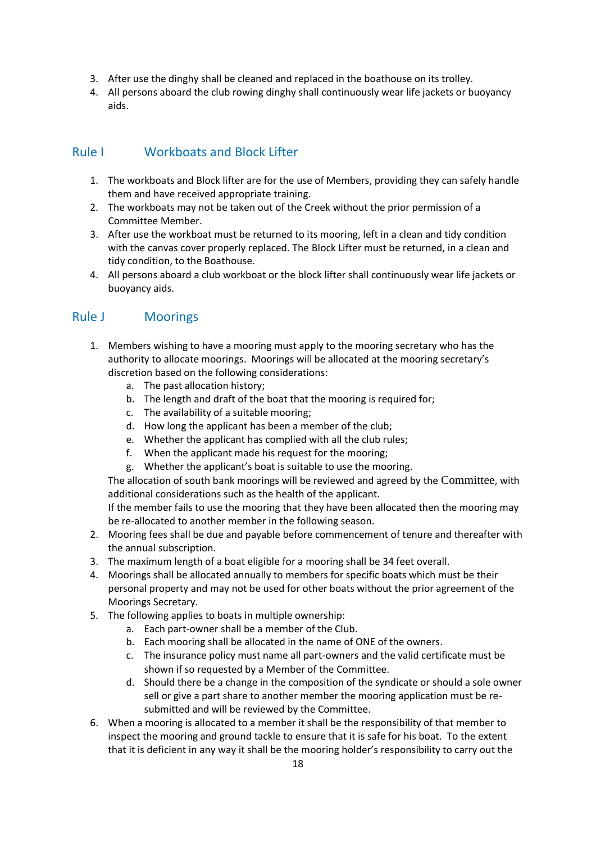- 3. After use the dinghy shall be cleaned and replaced in the boathouse on its trolley.
- 4. All persons aboard the club rowing dinghy shall continuously wear life jackets or buoyancy aids.

# Rule I Workboats and Block Lifter

- 1. The workboats and Block lifter are for the use of Members, providing they can safely handle them and have received appropriate training.
- 2. The workboats may not be taken out of the Creek without the prior permission of a Committee Member.
- 3. After use the workboat must be returned to its mooring, left in a clean and tidy condition with the canvas cover properly replaced. The Block Lifter must be returned, in a clean and tidy condition, to the Boathouse.
- 4. All persons aboard a club workboat or the block lifter shall continuously wear life jackets or buoyancy aids.

### Rule J Moorings

- 1. Members wishing to have a mooring must apply to the mooring secretary who has the authority to allocate moorings. Moorings will be allocated at the mooring secretary's discretion based on the following considerations:
	- a. The past allocation history;
	- b. The length and draft of the boat that the mooring is required for;
	- c. The availability of a suitable mooring;
	- d. How long the applicant has been a member of the club;
	- e. Whether the applicant has complied with all the club rules;
	- f. When the applicant made his request for the mooring;
	- g. Whether the applicant's boat is suitable to use the mooring.

The allocation of south bank moorings will be reviewed and agreed by the Committee, with additional considerations such as the health of the applicant.

If the member fails to use the mooring that they have been allocated then the mooring may be re-allocated to another member in the following season.

- 2. Mooring fees shall be due and payable before commencement of tenure and thereafter with the annual subscription.
- 3. The maximum length of a boat eligible for a mooring shall be 34 feet overall.
- 4. Moorings shall be allocated annually to members for specific boats which must be their personal property and may not be used for other boats without the prior agreement of the Moorings Secretary.
- 5. The following applies to boats in multiple ownership:
	- a. Each part-owner shall be a member of the Club.
	- b. Each mooring shall be allocated in the name of ONE of the owners.
	- c. The insurance policy must name all part-owners and the valid certificate must be shown if so requested by a Member of the Committee.
	- d. Should there be a change in the composition of the syndicate or should a sole owner sell or give a part share to another member the mooring application must be resubmitted and will be reviewed by the Committee.
- 6. When a mooring is allocated to a member it shall be the responsibility of that member to inspect the mooring and ground tackle to ensure that it is safe for his boat. To the extent that it is deficient in any way it shall be the mooring holder's responsibility to carry out the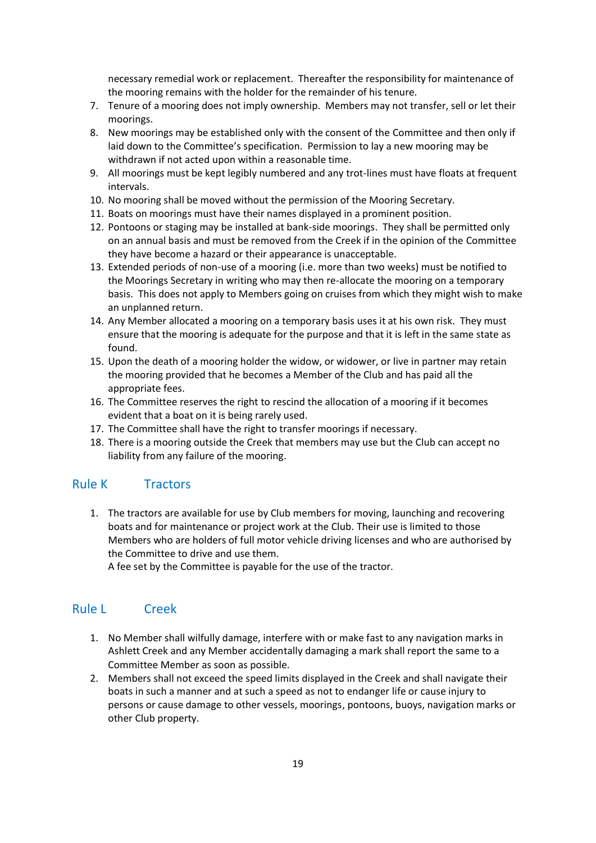necessary remedial work or replacement. Thereafter the responsibility for maintenance of the mooring remains with the holder for the remainder of his tenure.

- 7. Tenure of a mooring does not imply ownership. Members may not transfer, sell or let their moorings.
- 8. New moorings may be established only with the consent of the Committee and then only if laid down to the Committee's specification. Permission to lay a new mooring may be withdrawn if not acted upon within a reasonable time.
- 9. All moorings must be kept legibly numbered and any trot-lines must have floats at frequent intervals.
- 10. No mooring shall be moved without the permission of the Mooring Secretary.
- 11. Boats on moorings must have their names displayed in a prominent position.
- 12. Pontoons or staging may be installed at bank-side moorings. They shall be permitted only on an annual basis and must be removed from the Creek if in the opinion of the Committee they have become a hazard or their appearance is unacceptable.
- 13. Extended periods of non-use of a mooring (i.e. more than two weeks) must be notified to the Moorings Secretary in writing who may then re-allocate the mooring on a temporary basis. This does not apply to Members going on cruises from which they might wish to make an unplanned return.
- 14. Any Member allocated a mooring on a temporary basis uses it at his own risk. They must ensure that the mooring is adequate for the purpose and that it is left in the same state as found.
- 15. Upon the death of a mooring holder the widow, or widower, or live in partner may retain the mooring provided that he becomes a Member of the Club and has paid all the appropriate fees.
- 16. The Committee reserves the right to rescind the allocation of a mooring if it becomes evident that a boat on it is being rarely used.
- 17. The Committee shall have the right to transfer moorings if necessary.
- 18. There is a mooring outside the Creek that members may use but the Club can accept no liability from any failure of the mooring.

#### Rule K Tractors

1. The tractors are available for use by Club members for moving, launching and recovering boats and for maintenance or project work at the Club. Their use is limited to those Members who are holders of full motor vehicle driving licenses and who are authorised by the Committee to drive and use them.

A fee set by the Committee is payable for the use of the tractor.

#### Rule L Creek

- 1. No Member shall wilfully damage, interfere with or make fast to any navigation marks in Ashlett Creek and any Member accidentally damaging a mark shall report the same to a Committee Member as soon as possible.
- 2. Members shall not exceed the speed limits displayed in the Creek and shall navigate their boats in such a manner and at such a speed as not to endanger life or cause injury to persons or cause damage to other vessels, moorings, pontoons, buoys, navigation marks or other Club property.